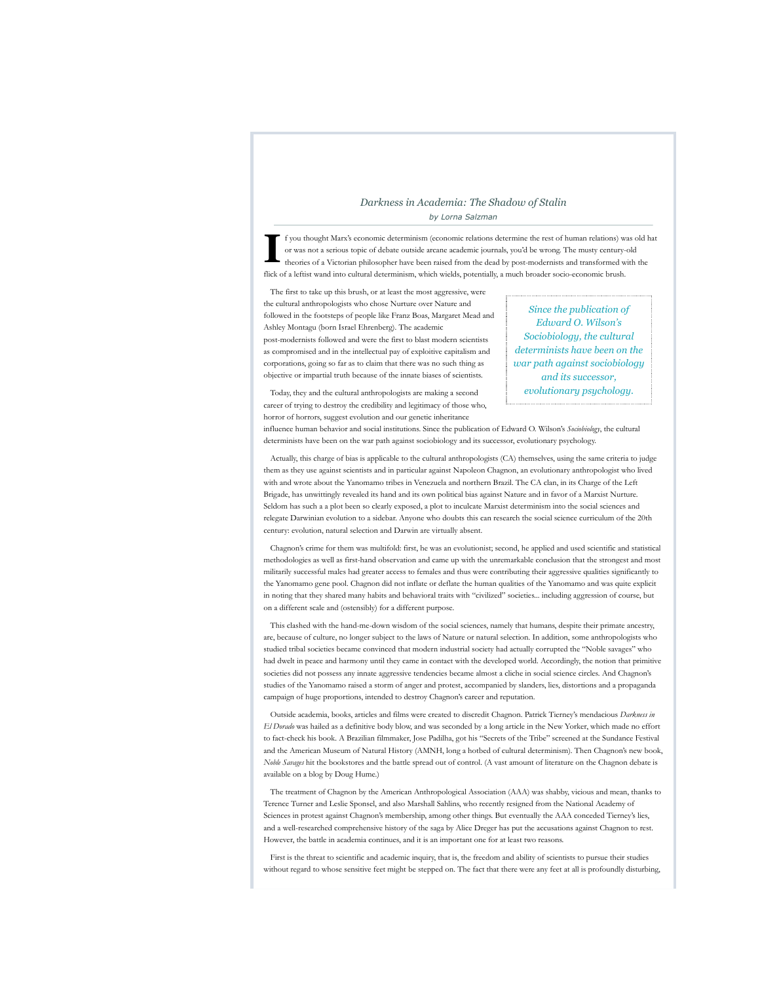# *Darkness in Academia: The Shadow of Stalin by Lorna Salzman*

**I** f you thought Marx's economic determinism (economic relations determine the rest of human relations) was old hat or was not a serious topic of debate outside arcane academic journals, you'd be wrong. The musty century-old theories of a Victorian philosopher have been raised from the dead by post-modernists and transformed with the flick of a leftist wand into cultural determinism, which wields, potentially, a much broader socio-economic brush.

The first to take up this brush, or at least the most aggressive, were the cultural anthropologists who chose Nurture over Nature and followed in the footsteps of people like Franz Boas, Margaret Mead and Ashley Montagu (born Israel Ehrenberg). The academic post-modernists followed and were the first to blast modern scientists as compromised and in the intellectual pay of exploitive capitalism and corporations, going so far as to claim that there was no such thing as objective or impartial truth because of the innate biases of scientists.

*Since the publication of Edward O. Wilson's Sociobiology, the cultural determinists have been on the war path against sociobiology and its successor, evolutionary psychology.*

Today, they and the cultural anthropologists are making a second career of trying to destroy the credibility and legitimacy of those who, horror of horrors, suggest evolution and our genetic inheritance

influence human behavior and social institutions. Since the publication of Edward O. Wilson's *Sociobiology*, the cultural determinists have been on the war path against sociobiology and its successor, evolutionary psychology.

Actually, this charge of bias is applicable to the cultural anthropologists (CA) themselves, using the same criteria to judge them as they use against scientists and in particular against Napoleon Chagnon, an evolutionary anthropologist who lived with and wrote about the Yanomamo tribes in Venezuela and northern Brazil. The CA clan, in its Charge of the Left Brigade, has unwittingly revealed its hand and its own political bias against Nature and in favor of a Marxist Nurture. Seldom has such a a plot been so clearly exposed, a plot to inculcate Marxist determinism into the social sciences and relegate Darwinian evolution to a sidebar. Anyone who doubts this can research the social science curriculum of the 20th century: evolution, natural selection and Darwin are virtually absent.

Chagnon's crime for them was multifold: first, he was an evolutionist; second, he applied and used scientific and statistical methodologies as well as first-hand observation and came up with the unremarkable conclusion that the strongest and most militarily successful males had greater access to females and thus were contributing their aggressive qualities significantly to the Yanomamo gene pool. Chagnon did not inflate or deflate the human qualities of the Yanomamo and was quite explicit in noting that they shared many habits and behavioral traits with "civilized" societies... including aggression of course, but on a different scale and (ostensibly) for a different purpose.

This clashed with the hand-me-down wisdom of the social sciences, namely that humans, despite their primate ancestry, are, because of culture, no longer subject to the laws of Nature or natural selection. In addition, some anthropologists who studied tribal societies became convinced that modern industrial society had actually corrupted the "Noble savages" who had dwelt in peace and harmony until they came in contact with the developed world. Accordingly, the notion that primitive societies did not possess any innate aggressive tendencies became almost a cliche in social science circles. And Chagnon's studies of the Yanomamo raised a storm of anger and protest, accompanied by slanders, lies, distortions and a propaganda campaign of huge proportions, intended to destroy Chagnon's career and reputation.

Outside academia, books, articles and films were created to discredit Chagnon. Patrick Tierney's mendacious *Darkness in El Dorado* was hailed as a definitive body blow, and was seconded by a long article in the New Yorker, which made no effort to fact-check his book. A Brazilian filmmaker, Jose Padilha, got his "Secrets of the Tribe" screened at the Sundance Festival and the American Museum of Natural History (AMNH, long a hotbed of cultural determinism). Then Chagnon's new book, *Noble Savages* hit the bookstores and the battle spread out of control. (A vast amount of literature on the Chagnon debate is available on a blog by Doug Hume.)

The treatment of Chagnon by the American Anthropological Association (AAA) was shabby, vicious and mean, thanks to Terence Turner and Leslie Sponsel, and also Marshall Sahlins, who recently resigned from the National Academy of Sciences in protest against Chagnon's membership, among other things. But eventually the AAA conceded Tierney's lies, and a well-researched comprehensive history of the saga by Alice Dreger has put the accusations against Chagnon to rest. However, the battle in academia continues, and it is an important one for at least two reasons.

First is the threat to scientific and academic inquiry, that is, the freedom and ability of scientists to pursue their studies without regard to whose sensitive feet might be stepped on. The fact that there were any feet at all is profoundly disturbing,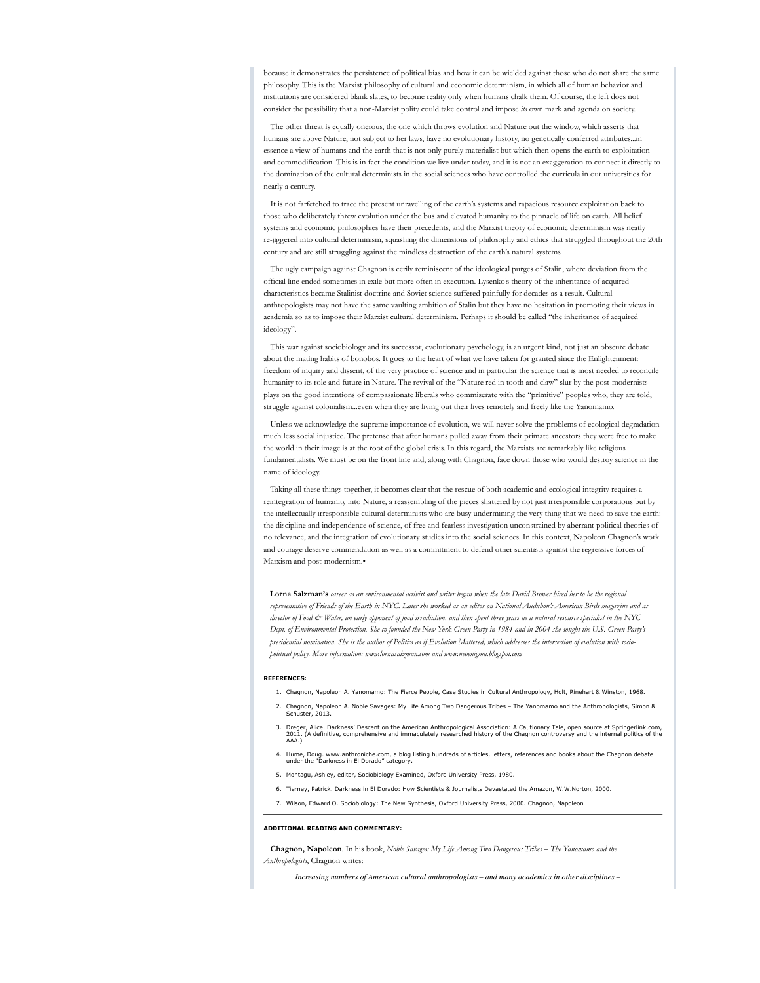because it demonstrates the persistence of political bias and how it can be wielded against those who do not share the same philosophy. This is the Marxist philosophy of cultural and economic determinism, in which all of human behavior and institutions are considered blank slates, to become reality only when humans chalk them. Of course, the left does not consider the possibility that a non-Marxist polity could take control and impose *its* own mark and agenda on society.

The other threat is equally onerous, the one which throws evolution and Nature out the window, which asserts that humans are above Nature, not subject to her laws, have no evolutionary history, no genetically conferred attributes...in essence a view of humans and the earth that is not only purely materialist but which then opens the earth to exploitation and commodification. This is in fact the condition we live under today, and it is not an exaggeration to connect it directly to the domination of the cultural determinists in the social sciences who have controlled the curricula in our universities for nearly a century.

It is not farfetched to trace the present unravelling of the earth's systems and rapacious resource exploitation back to those who deliberately threw evolution under the bus and elevated humanity to the pinnacle of life on earth. All belief systems and economic philosophies have their precedents, and the Marxist theory of economic determinism was neatly re-jiggered into cultural determinism, squashing the dimensions of philosophy and ethics that struggled throughout the 20th century and are still struggling against the mindless destruction of the earth's natural systems.

The ugly campaign against Chagnon is eerily reminiscent of the ideological purges of Stalin, where deviation from the official line ended sometimes in exile but more often in execution. Lysenko's theory of the inheritance of acquired characteristics became Stalinist doctrine and Soviet science suffered painfully for decades as a result. Cultural anthropologists may not have the same vaulting ambition of Stalin but they have no hesitation in promoting their views in academia so as to impose their Marxist cultural determinism. Perhaps it should be called "the inheritance of acquired ideology".

This war against sociobiology and its successor, evolutionary psychology, is an urgent kind, not just an obscure debate about the mating habits of bonobos. It goes to the heart of what we have taken for granted since the Enlightenment: freedom of inquiry and dissent, of the very practice of science and in particular the science that is most needed to reconcile humanity to its role and future in Nature. The revival of the "Nature red in tooth and claw" slur by the post-modernists plays on the good intentions of compassionate liberals who commiserate with the "primitive" peoples who, they are told, struggle against colonialism...even when they are living out their lives remotely and freely like the Yanomamo.

Unless we acknowledge the supreme importance of evolution, we will never solve the problems of ecological degradation much less social injustice. The pretense that after humans pulled away from their primate ancestors they were free to make the world in their image is at the root of the global crisis. In this regard, the Marxists are remarkably like religious fundamentalists. We must be on the front line and, along with Chagnon, face down those who would destroy science in the name of ideology.

Taking all these things together, it becomes clear that the rescue of both academic and ecological integrity requires a reintegration of humanity into Nature, a reassembling of the pieces shattered by not just irresponsible corporations but by the intellectually irresponsible cultural determinists who are busy undermining the very thing that we need to save the earth: the discipline and independence of science, of free and fearless investigation unconstrained by aberrant political theories of no relevance, and the integration of evolutionary studies into the social sciences. In this context, Napoleon Chagnon's work and courage deserve commendation as well as a commitment to defend other scientists against the regressive forces of Marxism and post-modernism.•

**Lorna Salzman's** *career as an environmental activist and writer began when the late David Brower hired her to be the regional representative of Friends of the Earth in NYC. Later she worked as an editor on National Audubon's American Birds magazine and as* director of Food  $\dot{\mathcal{O}}$  Water, an early opponent of food irradiation, and then spent three years as a natural resource specialist in the NYC *Dept. of Environmental Protection. She co-founded the New York Green Party in 1984 and in 2004 she sought the U.S. Green Party's presidential nomination. She is the author of Politics as if Evolution Mattered, which addresses the intersection of evolution with sociopolitical policy. More information: www.lornasalzman.com and www.neoenigma.blogspot.com*

## **REFERENCES:**

- 1. Chagnon, Napoleon A. Yanomamo: The Fierce People, Case Studies in Cultural Anthropology, Holt, Rinehart & Winston, 1968.
- 2. Chagnon, Napoleon A. Noble Savages: My Life Among Two Dangerous Tribes The Yanomamo and the Anthropologists, Simon & Schuster, 2013.
- 3. Dreger, Alice. Darkness' Descent on the American Anthropological Association: A Cautionary Tale, open source at Springerlink.com,<br>2011. (A definitive, comprehensive and immaculately researched history of the Chagnon con AAA.)
- Hume, Doug. www.anthroniche.com, a blog listing hundreds of articles, letters, references and books about the Chagnon debate under the "Darkness in El Dorado" category. 4.
- 5. Montagu, Ashley, editor, Sociobiology Examined, Oxford University Press, 1980.
- 6. Tierney, Patrick. Darkness in El Dorado: How Scientists & Journalists Devastated the Amazon, W.W.Norton, 2000.
- 7. Wilson, Edward O. Sociobiology: The New Synthesis, Oxford University Press, 2000. Chagnon, Napoleon

### **ADDITIONAL READING AND COMMENTARY:**

**Chagnon, Napoleon**. In his book, *Noble Savages: My Life Among Two Dangerous Tribes – The Yanomamo and the Anthropologists*, Chagnon writes:

*Increasing numbers of American cultural anthropologists – and many academics in other disciplines –*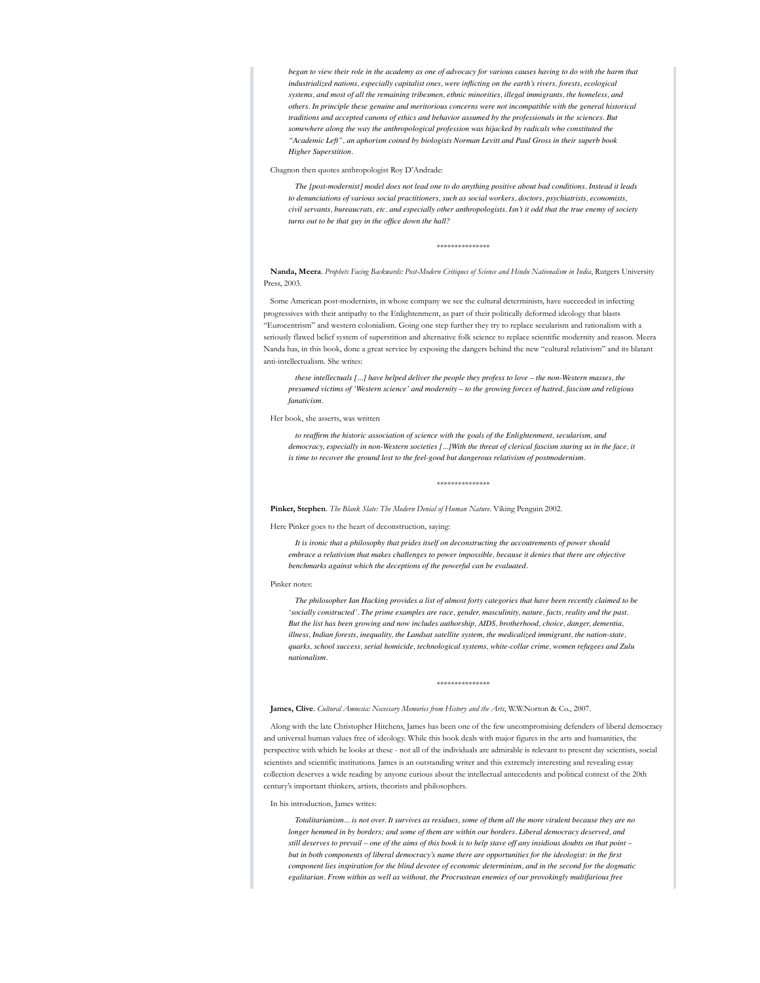*began to view their role in the academy as one of advocacy for various causes having to do with the harm that industrialized nations, especially capitalist ones, were inflicting on the earth's rivers, forests, ecological systems, and most of all the remaining tribesmen, ethnic minorities, illegal immigrants, the homeless, and others. In principle these genuine and meritorious concerns were not incompatible with the general historical traditions and accepted canons of ethics and behavior assumed by the professionals in the sciences. But somewhere along the way the anthropological profession was hijacked by radicals who constituted the "Academic Left", an aphorism coined by biologists Norman Levitt and Paul Gross in their superb book Higher Superstition.*

Chagnon then quotes anthropologist Roy D'Andrade:

*The [post-modernist] model does not lead one to do anything positive about bad conditions. Instead it leads to denunciations of various social practitioners, such as social workers, doctors, psychiatrists, economists, civil servants, bureaucrats, etc. and especially other anthropologists. Isn't it odd that the true enemy of society turns out to be that guy in the office down the hall?*

\*\*\*\*\*\*\*\*\*\*\*\*\*\*\*

**Nanda, Meera**. *Prophets Facing Backwards: Post-Modern Critiques of Science and Hindu Nationalism in India*, Rutgers University Press, 2003.

Some American post-modernists, in whose company we see the cultural determinists, have succeeded in infecting progressives with their antipathy to the Enlightenment, as part of their politically deformed ideology that blasts "Eurocentrism" and western colonialism. Going one step further they try to replace secularism and rationalism with a seriously flawed belief system of superstition and alternative folk science to replace scientific modernity and reason. Meera Nanda has, in this book, done a great service by exposing the dangers behind the new "cultural relativism" and its blatant anti-intellectualism. She writes:

*these intellectuals [...] have helped deliver the people they profess to love – the non-Western masses, the presumed victims of 'Western science' and modernity – to the growing forces of hatred, fascism and religious fanaticism.*

Her book, she asserts, was written

*to reaffirm the historic association of science with the goals of the Enlightenment, secularism, and democracy, especially in non-Western societies [...]With the threat of clerical fascism staring us in the face, it is time to recover the ground lost to the feel-good but dangerous relativism of postmodernism.*

\*\*\*\*\*\*\*\*\*\*\*\*\*\*\*

**Pinker, Stephen**. *The Blank Slate: The Modern Denial of Human Nature*. Viking Penguin 2002.

Here Pinker goes to the heart of deconstruction, saying:

*It is ironic that a philosophy that prides itself on deconstructing the accoutrements of power should embrace a relativism that makes challenges to power impossible, because it denies that there are objective benchmarks against which the deceptions of the powerful can be evaluated.*

### Pinker notes:

*The philosopher Ian Hacking provides a list of almost forty categories that have been recently claimed to be 'socially constructed'. The prime examples are race, gender, masculinity, nature, facts, reality and the past. But the list has been growing and now includes authorship, AIDS, brotherhood, choice, danger, dementia, illness, Indian forests, inequality, the Landsat satellite system, the medicalized immigrant, the nation-state, quarks, school success, serial homicide, technological systems, white-collar crime, women refugees and Zulu nationalism.*

### \*\*\*\*\*\*\*\*\*\*\*\*\*\*\*

## **James, Clive**. *Cultural Amnesia: Necessary Memories from History and the Arts*, W.W.Norton & Co., 2007.

Along with the late Christopher Hitchens, James has been one of the few uncompromising defenders of liberal democracy and universal human values free of ideology. While this book deals with major figures in the arts and humanities, the perspective with which he looks at these - not all of the individuals are admirable is relevant to present day scientists, social scientists and scientific institutions. James is an outstanding writer and this extremely interesting and revealing essay collection deserves a wide reading by anyone curious about the intellectual antecedents and political context of the 20th century's important thinkers, artists, theorists and philosophers.

## In his introduction, James writes:

*Totalitarianism... is not over. It survives as residues, some of them all the more virulent because they are no longer hemmed in by borders; and some of them are within our borders. Liberal democracy deserved, and still deserves to prevail – one of the aims of this book is to help stave off any insidious doubts on that point – but in both components of liberal democracy's name there are opportunities for the ideologist: in the first component lies inspiration for the blind devotee of economic determinism, and in the second for the dogmatic egalitarian. From within as well as without, the Procrustean enemies of our provokingly multifarious free*